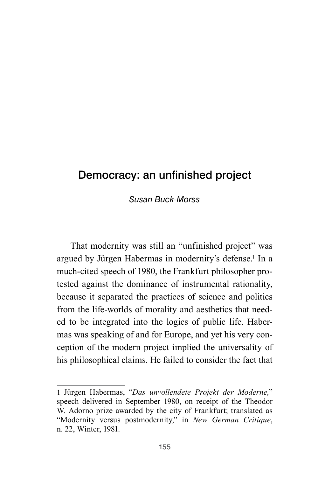# Democracy: an unfinished project

### *Susan Buck-Morss*

That modernity was still an "unfinished project" was argued by Jürgen Habermas in modernity's defense.<sup>1</sup> In a much-cited speech of 1980, the Frankfurt philosopher protested against the dominance of instrumental rationality, because it separated the practices of science and politics from the life-worlds of morality and aesthetics that needed to be integrated into the logics of public life. Habermas was speaking of and for Europe, and yet his very conception of the modern project implied the universality of his philosophical claims. He failed to consider the fact that

<sup>1</sup> Jürgen Habermas, "*Das unvollendete Projekt der Moderne,*" speech delivered in September 1980, on receipt of the Theodor W. Adorno prize awarded by the city of Frankfurt; translated as "Modernity versus postmodernity," in *New German Critique*, n. 22, Winter, 1981.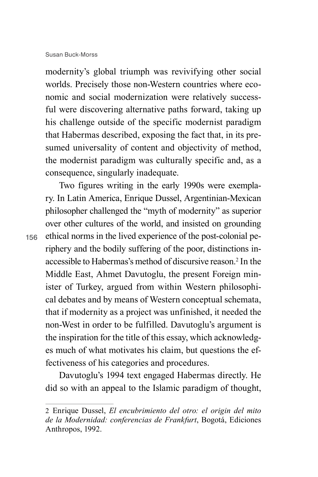modernity's global triumph was revivifying other social worlds. Precisely those non-Western countries where economic and social modernization were relatively successful were discovering alternative paths forward, taking up his challenge outside of the specific modernist paradigm that Habermas described, exposing the fact that, in its presumed universality of content and objectivity of method, the modernist paradigm was culturally specific and, as a consequence, singularly inadequate.

Two figures writing in the early 1990s were exemplary. In Latin America, Enrique Dussel, Argentinian-Mexican philosopher challenged the "myth of modernity" as superior over other cultures of the world, and insisted on grounding ethical norms in the lived experience of the post-colonial periphery and the bodily suffering of the poor, distinctions inaccessible to Habermas's method of discursive reason.<sup>2</sup> In the Middle East, Ahmet Davutoglu, the present Foreign minister of Turkey, argued from within Western philosophical debates and by means of Western conceptual schemata, that if modernity as a project was unfinished, it needed the non-West in order to be fulfilled. Davutoglu's argument is the inspiration for the title of this essay, which acknowledges much of what motivates his claim, but questions the effectiveness of his categories and procedures.

Davutoglu's 1994 text engaged Habermas directly. He did so with an appeal to the Islamic paradigm of thought,

<sup>2</sup> Enrique Dussel, *El encubrimiento del otro: el origin del mito de la Modernidad: conferencias de Frankfurt*, Bogotá, Ediciones Anthropos, 1992.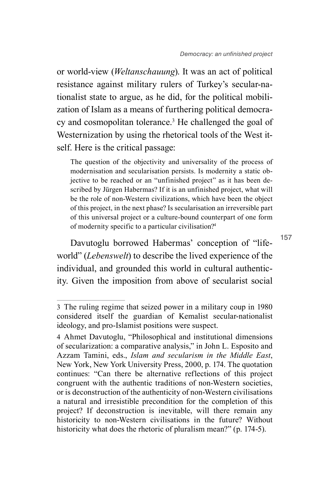or world-view (*Weltanschauung*). It was an act of political resistance against military rulers of Turkey's secular-nationalist state to argue, as he did, for the political mobilization of Islam as a means of furthering political democracy and cosmopolitan tolerance.3 He challenged the goal of Westernization by using the rhetorical tools of the West itself. Here is the critical passage:

The question of the objectivity and universality of the process of modernisation and secularisation persists. Is modernity a static objective to be reached or an "unfinished project" as it has been described by Jürgen Habermas? If it is an unfinished project, what will be the role of non-Western civilizations, which have been the object of this project, in the next phase? Is secularisation an irreversible part of this universal project or a culture-bound counterpart of one form of modernity specific to a particular civilisation?4

Davutoglu borrowed Habermas' conception of "lifeworld" (*Lebenswelt*) to describe the lived experience of the individual, and grounded this world in cultural authenticity. Given the imposition from above of secularist social

<sup>3</sup> The ruling regime that seized power in a military coup in 1980 considered itself the guardian of Kemalist secular-nationalist ideology, and pro-Islamist positions were suspect.

<sup>4</sup> Ahmet Davutoglu, "Philosophical and institutional dimensions of secularization: a comparative analysis," in John L. Esposito and Azzam Tamini, eds., *Islam and secularism in the Middle East*, New York, New York University Press, 2000, p. 174. The quotation continues: "Can there be alternative reflections of this project congruent with the authentic traditions of non-Western societies, or is deconstruction of the authenticity of non-Western civilisations a natural and irresistible precondition for the completion of this project? If deconstruction is inevitable, will there remain any historicity to non-Western civilisations in the future? Without historicity what does the rhetoric of pluralism mean?" (p. 174-5).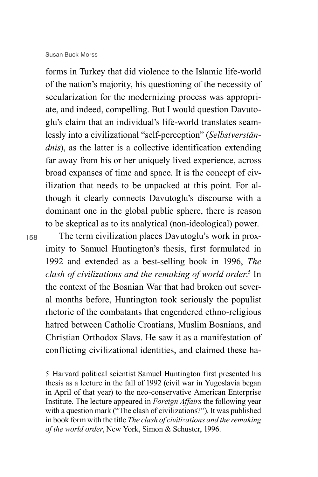forms in Turkey that did violence to the Islamic life-world of the nation's majority, his questioning of the necessity of secularization for the modernizing process was appropriate, and indeed, compelling. But I would question Davutoglu's claim that an individual's life-world translates seamlessly into a civilizational "self-perception" (*Selbstverständnis*), as the latter is a collective identification extending far away from his or her uniquely lived experience, across broad expanses of time and space. It is the concept of civilization that needs to be unpacked at this point. For although it clearly connects Davutoglu's discourse with a dominant one in the global public sphere, there is reason to be skeptical as to its analytical (non-ideological) power.

158

The term civilization places Davutoglu's work in proximity to Samuel Huntington's thesis, first formulated in 1992 and extended as a best-selling book in 1996, *The clash of civilizations and the remaking of world order*. 5 In the context of the Bosnian War that had broken out several months before, Huntington took seriously the populist rhetoric of the combatants that engendered ethno-religious hatred between Catholic Croatians, Muslim Bosnians, and Christian Orthodox Slavs. He saw it as a manifestation of conflicting civilizational identities, and claimed these ha-

<sup>5</sup> Harvard political scientist Samuel Huntington first presented his thesis as a lecture in the fall of 1992 (civil war in Yugoslavia began in April of that year) to the neo-conservative American Enterprise Institute. The lecture appeared in *Foreign Affairs* the following year with a question mark ("The clash of civilizations?"). It was published in book form with the title *The clash of civilizations and the remaking of the world order*, New York, Simon & Schuster, 1996.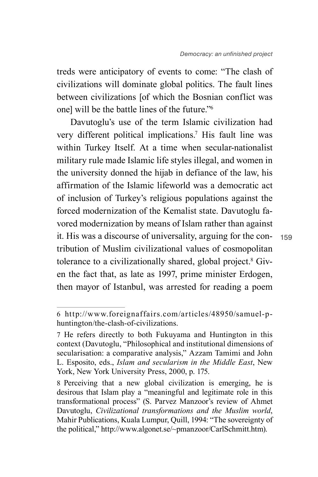treds were anticipatory of events to come: "The clash of civilizations will dominate global politics. The fault lines between civilizations [of which the Bosnian conflict was onel will be the battle lines of the future."<sup>6</sup>

Davutoglu's use of the term Islamic civilization had very different political implications.7 His fault line was within Turkey Itself. At a time when secular-nationalist military rule made Islamic life styles illegal, and women in the university donned the hijab in defiance of the law, his affirmation of the Islamic lifeworld was a democratic act of inclusion of Turkey's religious populations against the forced modernization of the Kemalist state. Davutoglu favored modernization by means of Islam rather than against it. His was a discourse of universality, arguing for the contribution of Muslim civilizational values of cosmopolitan tolerance to a civilizationally shared, global project.<sup>8</sup> Given the fact that, as late as 1997, prime minister Erdogen, then mayor of Istanbul, was arrested for reading a poem

<sup>6</sup> http://www.foreignaffairs.com/articles/48950/samuel-phuntington/the-clash-of-civilizations.

<sup>7</sup> He refers directly to both Fukuyama and Huntington in this context (Davutoglu, "Philosophical and institutional dimensions of secularisation: a comparative analysis," Azzam Tamimi and John L. Esposito, eds., *Islam and secularism in the Middle East*, New York, New York University Press, 2000, p. 175.

<sup>8</sup> Perceiving that a new global civilization is emerging, he is desirous that Islam play a "meaningful and legitimate role in this transformational process" (S. Parvez Manzoor's review of Ahmet Davutoglu, *Civilizational transformations and the Muslim world*, Mahir Publications, Kuala Lumpur, Quill, 1994: "The sovereignty of the political," http://www.algonet.se/~pmanzoor/CarlSchmitt.htm).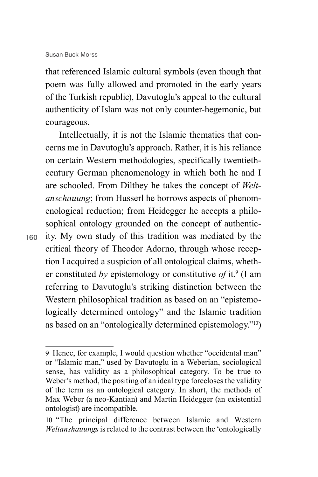that referenced Islamic cultural symbols (even though that poem was fully allowed and promoted in the early years of the Turkish republic), Davutoglu's appeal to the cultural authenticity of Islam was not only counter-hegemonic, but courageous.

Intellectually, it is not the Islamic thematics that concerns me in Davutoglu's approach. Rather, it is his reliance on certain Western methodologies, specifically twentiethcentury German phenomenology in which both he and I are schooled. From Dilthey he takes the concept of *Weltanschauung*; from Husserl he borrows aspects of phenomenological reduction; from Heidegger he accepts a philosophical ontology grounded on the concept of authenticity. My own study of this tradition was mediated by the critical theory of Theodor Adorno, through whose reception I acquired a suspicion of all ontological claims, whether constituted by epistemology or constitutive of it.<sup>9</sup> (I am referring to Davutoglu's striking distinction between the Western philosophical tradition as based on an "epistemologically determined ontology" and the Islamic tradition as based on an "ontologically determined epistemology."10)

<sup>9</sup> Hence, for example, I would question whether "occidental man" or "Islamic man," used by Davutoglu in a Weberian, sociological sense, has validity as a philosophical category. To be true to Weber's method, the positing of an ideal type forecloses the validity of the term as an ontological category. In short, the methods of Max Weber (a neo-Kantian) and Martin Heidegger (an existential ontologist) are incompatible.

<sup>10</sup> "The principal difference between Islamic and Western *Weltanshauungs* is related to the contrast between the 'ontologically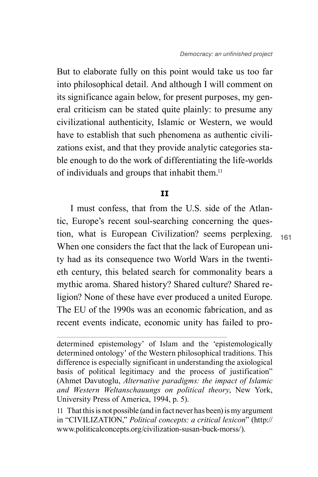But to elaborate fully on this point would take us too far into philosophical detail. And although I will comment on its significance again below, for present purposes, my general criticism can be stated quite plainly: to presume any civilizational authenticity, Islamic or Western, we would have to establish that such phenomena as authentic civilizations exist, and that they provide analytic categories stable enough to do the work of differentiating the life-worlds of individuals and groups that inhabit them.11

### **II**

I must confess, that from the U.S. side of the Atlantic, Europe's recent soul-searching concerning the question, what is European Civilization? seems perplexing. When one considers the fact that the lack of European unity had as its consequence two World Wars in the twentieth century, this belated search for commonality bears a mythic aroma. Shared history? Shared culture? Shared religion? None of these have ever produced a united Europe. The EU of the 1990s was an economic fabrication, and as recent events indicate, economic unity has failed to pro-

determined epistemology' of Islam and the 'epistemologically determined ontology' of the Western philosophical traditions. This difference is especially significant in understanding the axiological basis of political legitimacy and the process of justification" (Ahmet Davutoglu, *Alternative paradigms: the impact of Islamic and Western Weltanschauungs on political theory*, New York, University Press of America, 1994, p. 5).

<sup>11</sup> That this is not possible (and in fact never has been) is my argument in "CIVILIZATION," *Political concepts: a critical lexicon*" (http:// www.politicalconcepts.org/civilization-susan-buck-morss/).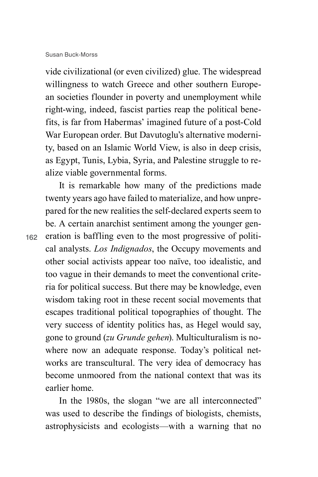vide civilizational (or even civilized) glue. The widespread willingness to watch Greece and other southern European societies flounder in poverty and unemployment while right-wing, indeed, fascist parties reap the political benefits, is far from Habermas' imagined future of a post-Cold War European order. But Davutoglu's alternative modernity, based on an Islamic World View, is also in deep crisis, as Egypt, Tunis, Lybia, Syria, and Palestine struggle to realize viable governmental forms.

It is remarkable how many of the predictions made twenty years ago have failed to materialize, and how unprepared for the new realities the self-declared experts seem to be. A certain anarchist sentiment among the younger generation is baffling even to the most progressive of political analysts. *Los Indignados*, the Occupy movements and other social activists appear too naïve, too idealistic, and too vague in their demands to meet the conventional criteria for political success. But there may be knowledge, even wisdom taking root in these recent social movements that escapes traditional political topographies of thought. The very success of identity politics has, as Hegel would say, gone to ground (*zu Grunde gehen*). Multiculturalism is nowhere now an adequate response. Today's political networks are transcultural. The very idea of democracy has become unmoored from the national context that was its earlier home.

In the 1980s, the slogan "we are all interconnected" was used to describe the findings of biologists, chemists, astrophysicists and ecologists—with a warning that no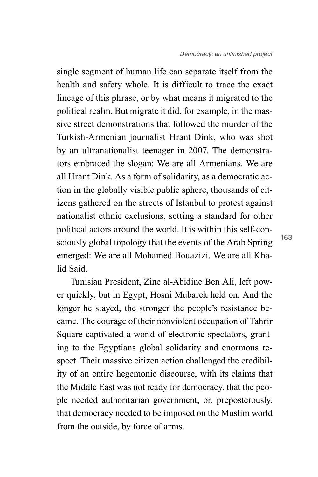single segment of human life can separate itself from the health and safety whole. It is difficult to trace the exact lineage of this phrase, or by what means it migrated to the political realm. But migrate it did, for example, in the massive street demonstrations that followed the murder of the Turkish-Armenian journalist Hrant Dink, who was shot by an ultranationalist teenager in 2007. The demonstrators embraced the slogan: We are all Armenians. We are all Hrant Dink. As a form of solidarity, as a democratic action in the globally visible public sphere, thousands of citizens gathered on the streets of Istanbul to protest against nationalist ethnic exclusions, setting a standard for other political actors around the world. It is within this self-consciously global topology that the events of the Arab Spring emerged: We are all Mohamed Bouazizi. We are all Khalid Said.

Tunisian President, Zine al-Abidine Ben Ali, left power quickly, but in Egypt, Hosni Mubarek held on. And the longer he stayed, the stronger the people's resistance became. The courage of their nonviolent occupation of Tahrir Square captivated a world of electronic spectators, granting to the Egyptians global solidarity and enormous respect. Their massive citizen action challenged the credibility of an entire hegemonic discourse, with its claims that the Middle East was not ready for democracy, that the people needed authoritarian government, or, preposterously, that democracy needed to be imposed on the Muslim world from the outside, by force of arms.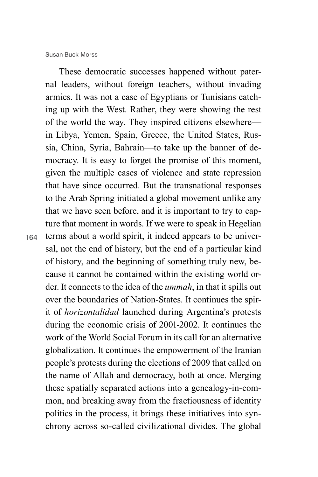These democratic successes happened without paternal leaders, without foreign teachers, without invading armies. It was not a case of Egyptians or Tunisians catching up with the West. Rather, they were showing the rest of the world the way. They inspired citizens elsewhere in Libya, Yemen, Spain, Greece, the United States, Russia, China, Syria, Bahrain—to take up the banner of democracy. It is easy to forget the promise of this moment, given the multiple cases of violence and state repression that have since occurred. But the transnational responses to the Arab Spring initiated a global movement unlike any that we have seen before, and it is important to try to capture that moment in words. If we were to speak in Hegelian terms about a world spirit, it indeed appears to be universal, not the end of history, but the end of a particular kind of history, and the beginning of something truly new, because it cannot be contained within the existing world order. It connects to the idea of the *ummah*, in that it spills out over the boundaries of Nation-States. It continues the spirit of *horizontalidad* launched during Argentina's protests during the economic crisis of 2001-2002. It continues the work of the World Social Forum in its call for an alternative globalization. It continues the empowerment of the Iranian people's protests during the elections of 2009 that called on the name of Allah and democracy, both at once. Merging these spatially separated actions into a genealogy-in-common, and breaking away from the fractiousness of identity politics in the process, it brings these initiatives into synchrony across so-called civilizational divides. The global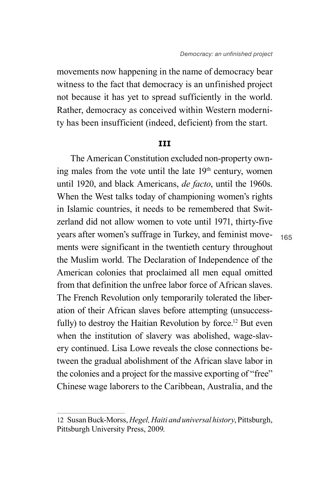movements now happening in the name of democracy bear witness to the fact that democracy is an unfinished project not because it has yet to spread sufficiently in the world. Rather, democracy as conceived within Western modernity has been insufficient (indeed, deficient) from the start.

### **III**

The American Constitution excluded non-property owning males from the vote until the late 19<sup>th</sup> century, women until 1920, and black Americans, *de facto*, until the 1960s. When the West talks today of championing women's rights in Islamic countries, it needs to be remembered that Switzerland did not allow women to vote until 1971, thirty-five years after women's suffrage in Turkey, and feminist movements were significant in the twentieth century throughout the Muslim world. The Declaration of Independence of the American colonies that proclaimed all men equal omitted from that definition the unfree labor force of African slaves. The French Revolution only temporarily tolerated the liberation of their African slaves before attempting (unsuccessfully) to destroy the Haitian Revolution by force.<sup>12</sup> But even when the institution of slavery was abolished, wage-slavery continued. Lisa Lowe reveals the close connections between the gradual abolishment of the African slave labor in the colonies and a project for the massive exporting of "free" Chinese wage laborers to the Caribbean, Australia, and the

<sup>12</sup> Susan Buck-Morss, *Hegel, Haiti and universal history*, Pittsburgh, Pittsburgh University Press, 2009.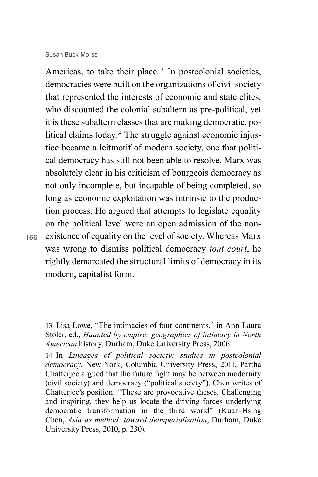166

Americas, to take their place.<sup>13</sup> In postcolonial societies, democracies were built on the organizations of civil society that represented the interests of economic and state elites, who discounted the colonial subaltern as pre-political, yet it is these subaltern classes that are making democratic, political claims today.<sup>14</sup> The struggle against economic injustice became a leitmotif of modern society, one that political democracy has still not been able to resolve. Marx was absolutely clear in his criticism of bourgeois democracy as not only incomplete, but incapable of being completed, so long as economic exploitation was intrinsic to the production process. He argued that attempts to legislate equality on the political level were an open admission of the nonexistence of equality on the level of society. Whereas Marx was wrong to dismiss political democracy *tout court*, he rightly demarcated the structural limits of democracy in its modern, capitalist form.

<sup>13</sup> Lisa Lowe, "The intimacies of four continents," in Ann Laura Stoler, ed., *Haunted by empire: geographies of intimacy in North American* history, Durham, Duke University Press, 2006.

<sup>14</sup> In *Lineages of political society: studies in postcolonial democracy*, New York, Columbia University Press, 2011, Partha Chatterjee argued that the future fight may be between modernity (civil society) and democracy ("political society"). Chen writes of Chatterjee's position: "These are provocative theses. Challenging and inspiring, they help us locate the driving forces underlying democratic transformation in the third world" (Kuan-Hsing Chen, *Asia as method: toward deimperialization*, Durham, Duke University Press, 2010, p. 230).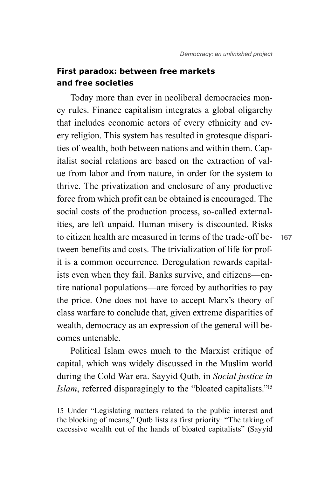## **First paradox: between free markets and free societies**

to citizen health are measured in terms of the trade-off be-<br> Today more than ever in neoliberal democracies money rules. Finance capitalism integrates a global oligarchy that includes economic actors of every ethnicity and every religion. This system has resulted in grotesque disparities of wealth, both between nations and within them. Capitalist social relations are based on the extraction of value from labor and from nature, in order for the system to thrive. The privatization and enclosure of any productive force from which profit can be obtained is encouraged. The social costs of the production process, so-called externalities, are left unpaid. Human misery is discounted. Risks tween benefits and costs. The trivialization of life for profit is a common occurrence. Deregulation rewards capitalists even when they fail. Banks survive, and citizens—entire national populations—are forced by authorities to pay the price. One does not have to accept Marx's theory of class warfare to conclude that, given extreme disparities of wealth, democracy as an expression of the general will becomes untenable.

Political Islam owes much to the Marxist critique of capital, which was widely discussed in the Muslim world during the Cold War era. Sayyid Qutb, in *Social justice in Islam*, referred disparagingly to the "bloated capitalists."15

<sup>15</sup> Under "Legislating matters related to the public interest and the blocking of means," Qutb lists as first priority: "The taking of excessive wealth out of the hands of bloated capitalists" (Sayyid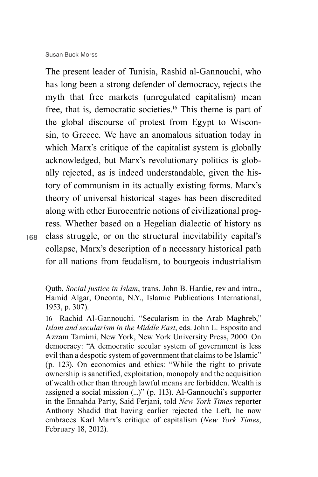The present leader of Tunisia, Rashid al-Gannouchi, who has long been a strong defender of democracy, rejects the myth that free markets (unregulated capitalism) mean free, that is, democratic societies.16 This theme is part of the global discourse of protest from Egypt to Wisconsin, to Greece. We have an anomalous situation today in which Marx's critique of the capitalist system is globally acknowledged, but Marx's revolutionary politics is globally rejected, as is indeed understandable, given the history of communism in its actually existing forms. Marx's theory of universal historical stages has been discredited along with other Eurocentric notions of civilizational progress. Whether based on a Hegelian dialectic of history as class struggle, or on the structural inevitability capital's collapse, Marx's description of a necessary historical path for all nations from feudalism, to bourgeois industrialism

Qutb, *Social justice in Islam*, trans. John B. Hardie, rev and intro., Hamid Algar, Oneonta, N.Y., Islamic Publications International, 1953, p. 307).

<sup>16</sup> Rachid Al-Gannouchi. "Secularism in the Arab Maghreb," *Islam and secularism in the Middle East*, eds. John L. Esposito and Azzam Tamimi, New York, New York University Press, 2000. On democracy: "A democratic secular system of government is less evil than a despotic system of government that claims to be Islamic" (p. 123). On economics and ethics: "While the right to private ownership is sanctified, exploitation, monopoly and the acquisition of wealth other than through lawful means are forbidden. Wealth is assigned a social mission (...)" (p. 113). Al-Gannouchi's supporter in the Ennahda Party, Said Ferjani, told *New York Times* reporter Anthony Shadid that having earlier rejected the Left, he now embraces Karl Marx's critique of capitalism (*New York Times*, February 18, 2012).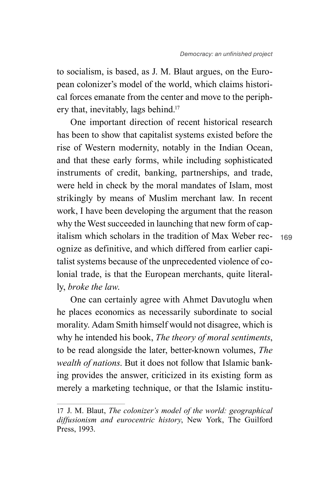to socialism, is based, as J. M. Blaut argues, on the European colonizer's model of the world, which claims historical forces emanate from the center and move to the periphery that, inevitably, lags behind.<sup>17</sup>

One important direction of recent historical research has been to show that capitalist systems existed before the rise of Western modernity, notably in the Indian Ocean, and that these early forms, while including sophisticated instruments of credit, banking, partnerships, and trade, were held in check by the moral mandates of Islam, most strikingly by means of Muslim merchant law. In recent work, I have been developing the argument that the reason why the West succeeded in launching that new form of capitalism which scholars in the tradition of Max Weber recognize as definitive, and which differed from earlier capitalist systems because of the unprecedented violence of colonial trade, is that the European merchants, quite literally, *broke the law*.

One can certainly agree with Ahmet Davutoglu when he places economics as necessarily subordinate to social morality. Adam Smith himself would not disagree, which is why he intended his book, *The theory of moral sentiments*, to be read alongside the later, better-known volumes, *The wealth of nations*. But it does not follow that Islamic banking provides the answer, criticized in its existing form as merely a marketing technique, or that the Islamic institu-

<sup>17</sup> J. M. Blaut, *The colonizer's model of the world: geographical diffusionism and eurocentric history*, New York, The Guilford Press, 1993.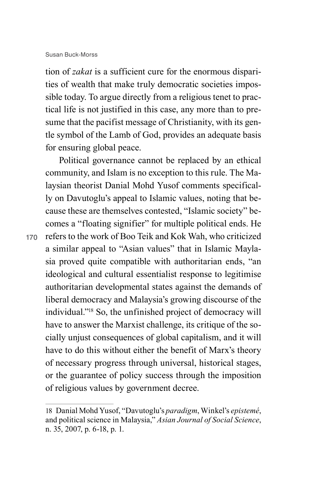tion of *zakat* is a sufficient cure for the enormous disparities of wealth that make truly democratic societies impossible today. To argue directly from a religious tenet to practical life is not justified in this case, any more than to presume that the pacifist message of Christianity, with its gentle symbol of the Lamb of God, provides an adequate basis for ensuring global peace.

Political governance cannot be replaced by an ethical community, and Islam is no exception to this rule. The Malaysian theorist Danial Mohd Yusof comments specifically on Davutoglu's appeal to Islamic values, noting that because these are themselves contested, "Islamic society" becomes a "floating signifier" for multiple political ends. He refers to the work of Boo Teik and Kok Wah, who criticized a similar appeal to "Asian values" that in Islamic Maylasia proved quite compatible with authoritarian ends, "an ideological and cultural essentialist response to legitimise authoritarian developmental states against the demands of liberal democracy and Malaysia's growing discourse of the individual."18 So, the unfinished project of democracy will have to answer the Marxist challenge, its critique of the socially unjust consequences of global capitalism, and it will have to do this without either the benefit of Marx's theory of necessary progress through universal, historical stages, or the guarantee of policy success through the imposition of religious values by government decree.

<sup>18</sup> Danial Mohd Yusof, "Davutoglu's *paradigm*, Winkel's *epistemé*, and political science in Malaysia," *Asian Journal of Social Science*, n. 35, 2007, p. 6-18, p. 1.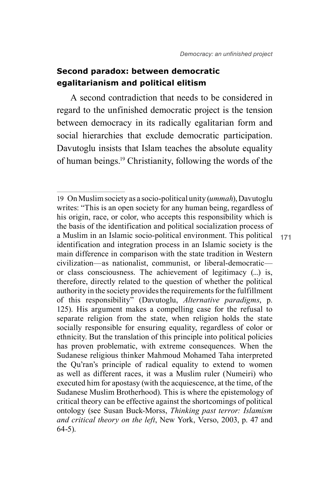171

## **Second paradox: between democratic egalitarianism and political elitism**

A second contradiction that needs to be considered in regard to the unfinished democratic project is the tension between democracy in its radically egalitarian form and social hierarchies that exclude democratic participation. Davutoglu insists that Islam teaches the absolute equality of human beings.19 Christianity, following the words of the

<sup>19</sup> On Muslim society as a socio-political unity (*ummah*), Davutoglu writes: "This is an open society for any human being, regardless of his origin, race, or color, who accepts this responsibility which is the basis of the identification and political socialization process of a Muslim in an Islamic socio-political environment. This political identification and integration process in an Islamic society is the main difference in comparison with the state tradition in Western civilization—as nationalist, communist, or liberal-democratic or class consciousness. The achievement of legitimacy (...) is, therefore, directly related to the question of whether the political authority in the society provides the requirements for the fulfillment of this responsibility" (Davutoglu, *Alternative paradigms*, p. 125). His argument makes a compelling case for the refusal to separate religion from the state, when religion holds the state socially responsible for ensuring equality, regardless of color or ethnicity. But the translation of this principle into political policies has proven problematic, with extreme consequences. When the Sudanese religious thinker Mahmoud Mohamed Taha interpreted the Qu'ran's principle of radical equality to extend to women as well as different races, it was a Muslim ruler (Numeiri) who executed him for apostasy (with the acquiescence, at the time, of the Sudanese Muslim Brotherhood). This is where the epistemology of critical theory can be effective against the shortcomings of political ontology (see Susan Buck-Morss, *Thinking past terror: Islamism and critical theory on the left*, New York, Verso, 2003, p. 47 and 64-5).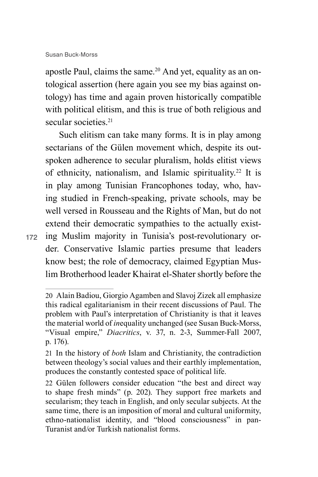apostle Paul, claims the same.<sup>20</sup> And yet, equality as an ontological assertion (here again you see my bias against ontology) has time and again proven historically compatible with political elitism, and this is true of both religious and secular societies.<sup>21</sup>

172 ing Muslim majority in Tunisia's post-revolutionary or-Such elitism can take many forms. It is in play among sectarians of the Gülen movement which, despite its outspoken adherence to secular pluralism, holds elitist views of ethnicity, nationalism, and Islamic spirituality.22 It is in play among Tunisian Francophones today, who, having studied in French-speaking, private schools, may be well versed in Rousseau and the Rights of Man, but do not extend their democratic sympathies to the actually existder. Conservative Islamic parties presume that leaders know best; the role of democracy, claimed Egyptian Muslim Brotherhood leader Khairat el-Shater shortly before the

<sup>20</sup> Alain Badiou, Giorgio Agamben and Slavoj Zizek all emphasize this radical egalitarianism in their recent discussions of Paul. The problem with Paul's interpretation of Christianity is that it leaves the material world of *in*equality unchanged (see Susan Buck-Morss, "Visual empire," *Diacritics*, v. 37, n. 2-3, Summer-Fall 2007, p. 176).

<sup>21</sup> In the history of *both* Islam and Christianity, the contradiction between theology's social values and their earthly implementation, produces the constantly contested space of political life.

<sup>22</sup> Gülen followers consider education "the best and direct way to shape fresh minds" (p. 202). They support free markets and secularism; they teach in English, and only secular subjects. At the same time, there is an imposition of moral and cultural uniformity, ethno-nationalist identity, and "blood consciousness" in pan-Turanist and/or Turkish nationalist forms.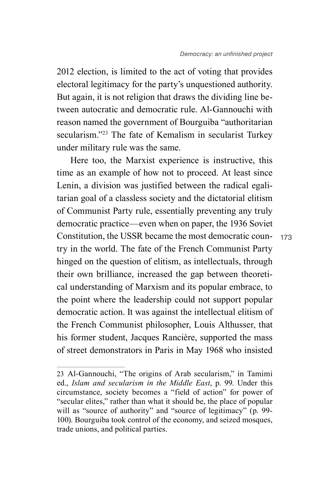2012 election, is limited to the act of voting that provides electoral legitimacy for the party's unquestioned authority. But again, it is not religion that draws the dividing line between autocratic and democratic rule. Al-Gannouchi with reason named the government of Bourguiba "authoritarian secularism."23 The fate of Kemalism in secularist Turkey under military rule was the same.

Here too, the Marxist experience is instructive, this time as an example of how not to proceed. At least since Lenin, a division was justified between the radical egalitarian goal of a classless society and the dictatorial elitism of Communist Party rule, essentially preventing any truly democratic practice—even when on paper, the 1936 Soviet Constitution, the USSR became the most democratic country in the world. The fate of the French Communist Party hinged on the question of elitism, as intellectuals, through their own brilliance, increased the gap between theoretical understanding of Marxism and its popular embrace, to the point where the leadership could not support popular democratic action. It was against the intellectual elitism of the French Communist philosopher, Louis Althusser, that his former student, Jacques Rancière, supported the mass of street demonstrators in Paris in May 1968 who insisted

<sup>23</sup> Al-Gannouchi, "The origins of Arab secularism," in Tamimi ed., *Islam and secularism in the Middle East*, p. 99. Under this circumstance, society becomes a "field of action" for power of "secular elites," rather than what it should be, the place of popular will as "source of authority" and "source of legitimacy" (p. 99-100). Bourguiba took control of the economy, and seized mosques, trade unions, and political parties.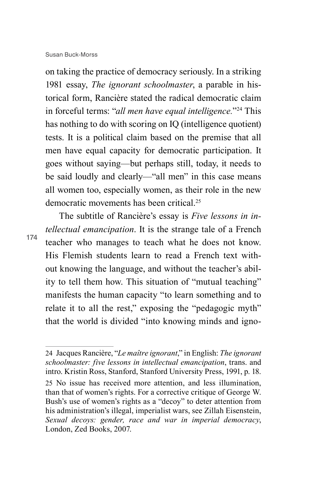on taking the practice of democracy seriously. In a striking 1981 essay, *The ignorant schoolmaster*, a parable in historical form, Rancière stated the radical democratic claim in forceful terms: "*all men have equal intelligence.*"24 This has nothing to do with scoring on IQ (intelligence quotient) tests. It is a political claim based on the premise that all men have equal capacity for democratic participation. It goes without saying—but perhaps still, today, it needs to be said loudly and clearly—"all men" in this case means all women too, especially women, as their role in the new democratic movements has been critical<sup>25</sup>

174

The subtitle of Rancière's essay is *Five lessons in intellectual emancipation*. It is the strange tale of a French teacher who manages to teach what he does not know. His Flemish students learn to read a French text without knowing the language, and without the teacher's ability to tell them how. This situation of "mutual teaching" manifests the human capacity "to learn something and to relate it to all the rest," exposing the "pedagogic myth" that the world is divided "into knowing minds and igno-

24 Jacques Rancière, "*Le maître ignorant*," in English: *The ignorant schoolmaster: five lessons in intellectual emancipation*, trans. and intro. Kristin Ross, Stanford, Stanford University Press, 1991, p. 18. 25 No issue has received more attention, and less illumination, than that of women's rights. For a corrective critique of George W. Bush's use of women's rights as a "decoy" to deter attention from his administration's illegal, imperialist wars, see Zillah Eisenstein, *Sexual decoys: gender, race and war in imperial democracy*, London, Zed Books, 2007.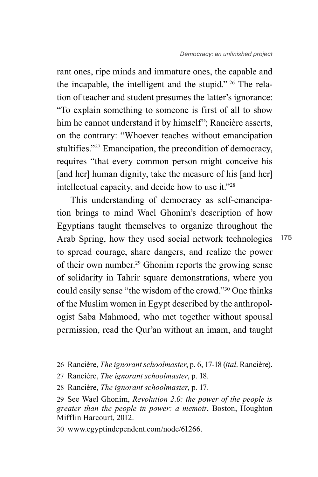rant ones, ripe minds and immature ones, the capable and the incapable, the intelligent and the stupid." 26 The relation of teacher and student presumes the latter's ignorance: "To explain something to someone is first of all to show him he cannot understand it by himself"; Rancière asserts, on the contrary: "Whoever teaches without emancipation stultifies."27 Emancipation, the precondition of democracy, requires "that every common person might conceive his [and her] human dignity, take the measure of his [and her] intellectual capacity, and decide how to use it."28

This understanding of democracy as self-emancipation brings to mind Wael Ghonim's description of how Egyptians taught themselves to organize throughout the Arab Spring, how they used social network technologies to spread courage, share dangers, and realize the power of their own number.<sup>29</sup> Ghonim reports the growing sense of solidarity in Tahrir square demonstrations, where you could easily sense "the wisdom of the crowd."30 One thinks of the Muslim women in Egypt described by the anthropologist Saba Mahmood, who met together without spousal permission, read the Qur'an without an imam, and taught

<sup>26</sup> Rancière, *The ignorant schoolmaster*, p. 6, 17-18 (*ital*. Rancière).

<sup>27</sup> Rancière, *The ignorant schoolmaster*, p. 18.

<sup>28</sup> Rancière, *The ignorant schoolmaster*, p. 17.

<sup>29</sup> See Wael Ghonim, *Revolution 2.0: the power of the people is greater than the people in power: a memoir*, Boston, Houghton Mifflin Harcourt, 2012.

<sup>30</sup> www.egyptindependent.com/node/61266.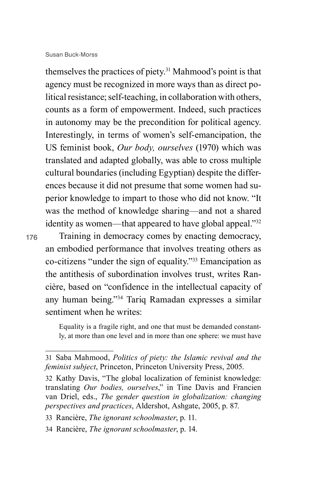themselves the practices of piety.31 Mahmood's point is that agency must be recognized in more ways than as direct political resistance; self-teaching, in collaboration with others, counts as a form of empowerment. Indeed, such practices in autonomy may be the precondition for political agency. Interestingly, in terms of women's self-emancipation, the US feminist book, *Our body, ourselves* (1970) which was translated and adapted globally, was able to cross multiple cultural boundaries (including Egyptian) despite the differences because it did not presume that some women had superior knowledge to impart to those who did not know. "It was the method of knowledge sharing—and not a shared identity as women—that appeared to have global appeal."<sup>32</sup>

176

Training in democracy comes by enacting democracy, an embodied performance that involves treating others as co-citizens "under the sign of equality."33 Emancipation as the antithesis of subordination involves trust, writes Rancière, based on "confidence in the intellectual capacity of any human being."34 Tariq Ramadan expresses a similar sentiment when he writes:

Equality is a fragile right, and one that must be demanded constantly, at more than one level and in more than one sphere: we must have

<sup>31</sup> Saba Mahmood, *Politics of piety: the Islamic revival and the feminist subject*, Princeton, Princeton University Press, 2005.

<sup>32</sup> Kathy Davis, "The global localization of feminist knowledge: translating *Our bodies, ourselves*," in Tine Davis and Francien van Driel, eds., *The gender question in globalization: changing perspectives and practices*, Aldershot, Ashgate, 2005, p. 87.

<sup>33</sup> Rancière, *The ignorant schoolmaster*, p. 11.

<sup>34</sup> Rancière, *The ignorant schoolmaster*, p. 14.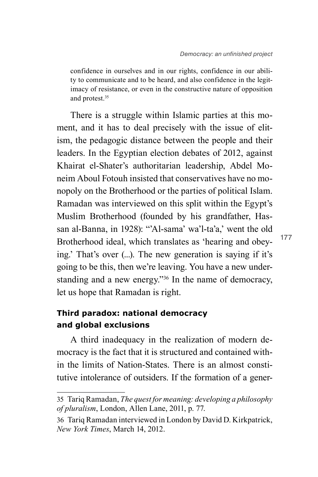confidence in ourselves and in our rights, confidence in our ability to communicate and to be heard, and also confidence in the legitimacy of resistance, or even in the constructive nature of opposition and protest.35

There is a struggle within Islamic parties at this moment, and it has to deal precisely with the issue of elitism, the pedagogic distance between the people and their leaders. In the Egyptian election debates of 2012, against Khairat el-Shater's authoritarian leadership, Abdel Moneim Aboul Fotouh insisted that conservatives have no monopoly on the Brotherhood or the parties of political Islam. Ramadan was interviewed on this split within the Egypt's Muslim Brotherhood (founded by his grandfather, Hassan al-Banna, in 1928): "'Al-sama' wa'l-ta'a,' went the old Brotherhood ideal, which translates as 'hearing and obeying.' That's over (...). The new generation is saying if it's going to be this, then we're leaving. You have a new understanding and a new energy."36 In the name of democracy, let us hope that Ramadan is right.

## **Third paradox: national democracy and global exclusions**

A third inadequacy in the realization of modern democracy is the fact that it is structured and contained within the limits of Nation-States. There is an almost constitutive intolerance of outsiders. If the formation of a gener-

<sup>35</sup> Tariq Ramadan, *The quest for meaning: developing a philosophy of pluralism*, London, Allen Lane, 2011, p. 77.

<sup>36</sup> Tariq Ramadan interviewed in London by David D. Kirkpatrick, *New York Times*, March 14, 2012.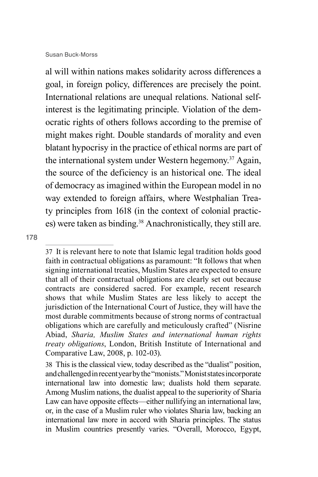al will within nations makes solidarity across differences a goal, in foreign policy, differences are precisely the point. International relations are unequal relations. National selfinterest is the legitimating principle. Violation of the democratic rights of others follows according to the premise of might makes right. Double standards of morality and even blatant hypocrisy in the practice of ethical norms are part of the international system under Western hegemony.37 Again, the source of the deficiency is an historical one. The ideal of democracy as imagined within the European model in no way extended to foreign affairs, where Westphalian Treaty principles from 1618 (in the context of colonial practices) were taken as binding.<sup>38</sup> Anachronistically, they still are.

<sup>37</sup> It is relevant here to note that Islamic legal tradition holds good faith in contractual obligations as paramount: "It follows that when signing international treaties, Muslim States are expected to ensure that all of their contractual obligations are clearly set out because contracts are considered sacred. For example, recent research shows that while Muslim States are less likely to accept the jurisdiction of the International Court of Justice, they will have the most durable commitments because of strong norms of contractual obligations which are carefully and meticulously crafted" (Nisrine Abiad, *Sharia, Muslim States and international human rights treaty obligations*, London, British Institute of International and Comparative Law, 2008, p. 102-03).

<sup>38</sup> This is the classical view, today described as the "dualist" position, and challenged in recent year by the "monists." Monist states incorporate international law into domestic law; dualists hold them separate. Among Muslim nations, the dualist appeal to the superiority of Sharia Law can have opposite effects—either nullifying an international law. or, in the case of a Muslim ruler who violates Sharia law, backing an international law more in accord with Sharia principles. The status in Muslim countries presently varies. "Overall, Morocco, Egypt,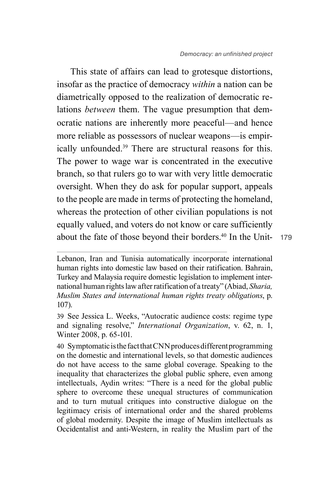This state of affairs can lead to grotesque distortions, insofar as the practice of democracy *within* a nation can be diametrically opposed to the realization of democratic relations *between* them. The vague presumption that democratic nations are inherently more peaceful—and hence more reliable as possessors of nuclear weapons—is empirically unfounded.39 There are structural reasons for this. The power to wage war is concentrated in the executive branch, so that rulers go to war with very little democratic oversight. When they do ask for popular support, appeals to the people are made in terms of protecting the homeland, whereas the protection of other civilian populations is not equally valued, and voters do not know or care sufficiently about the fate of those beyond their borders.40 In the Unit-

<sup>179</sup>

Lebanon, Iran and Tunisia automatically incorporate international human rights into domestic law based on their ratification. Bahrain, Turkey and Malaysia require domestic legislation to implement international human rights law after ratification of a treaty" (Abiad, *Sharia, Muslim States and international human rights treaty obligations*, p. 107).

<sup>39</sup> See Jessica L. Weeks, "Autocratic audience costs: regime type and signaling resolve," *International Organization*, v. 62, n. 1, Winter 2008, p. 65-101.

<sup>40</sup> Symptomatic is the fact that CNN produces different programming on the domestic and international levels, so that domestic audiences do not have access to the same global coverage. Speaking to the inequality that characterizes the global public sphere, even among intellectuals, Aydin writes: "There is a need for the global public sphere to overcome these unequal structures of communication and to turn mutual critiques into constructive dialogue on the legitimacy crisis of international order and the shared problems of global modernity. Despite the image of Muslim intellectuals as Occidentalist and anti-Western, in reality the Muslim part of the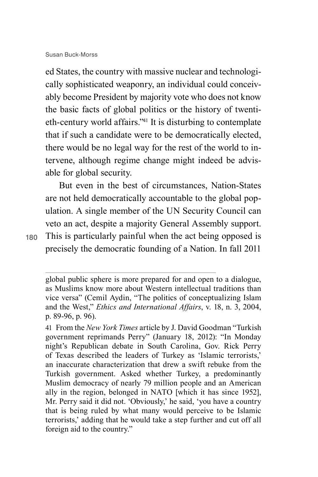ed States, the country with massive nuclear and technologically sophisticated weaponry, an individual could conceivably become President by majority vote who does not know the basic facts of global politics or the history of twentieth-century world affairs."41 It is disturbing to contemplate that if such a candidate were to be democratically elected, there would be no legal way for the rest of the world to intervene, although regime change might indeed be advisable for global security.

But even in the best of circumstances, Nation-States are not held democratically accountable to the global population. A single member of the UN Security Council can veto an act, despite a majority General Assembly support. This is particularly painful when the act being opposed is precisely the democratic founding of a Nation. In fall 2011

<sup>180</sup>

global public sphere is more prepared for and open to a dialogue, as Muslims know more about Western intellectual traditions than vice versa" (Cemil Aydin, "The politics of conceptualizing Islam and the West," *Ethics and International Affairs*, v. 18, n. 3, 2004, p. 89-96, p. 96).

<sup>41</sup> From the *New York Times* article by J. David Goodman "Turkish government reprimands Perry" (January 18, 2012): "In Monday night's Republican debate in South Carolina, Gov. Rick Perry of Texas described the leaders of Turkey as 'Islamic terrorists,' an inaccurate characterization that drew a swift rebuke from the Turkish government. Asked whether Turkey, a predominantly Muslim democracy of nearly 79 million people and an American ally in the region, belonged in NATO [which it has since 1952], Mr. Perry said it did not. 'Obviously,' he said, 'you have a country that is being ruled by what many would perceive to be Islamic terrorists,' adding that he would take a step further and cut off all foreign aid to the country."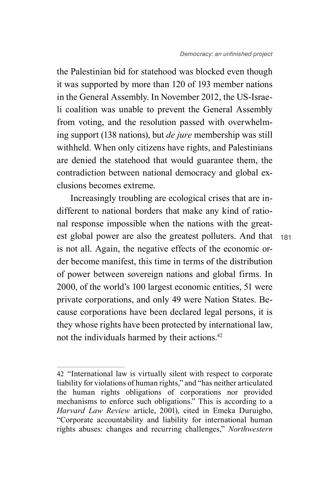the Palestinian bid for statehood was blocked even though it was supported by more than 120 of 193 member nations in the General Assembly. In November 2012, the US-Israeli coalition was unable to prevent the General Assembly from voting, and the resolution passed with overwhelming support (138 nations), but *de jure* membership was still withheld. When only citizens have rights, and Palestinians are denied the statehood that would guarantee them, the contradiction between national democracy and global exclusions becomes extreme.

Increasingly troubling are ecological crises that are indifferent to national borders that make any kind of rational response impossible when the nations with the greatest global power are also the greatest polluters. And that is not all. Again, the negative effects of the economic order become manifest, this time in terms of the distribution of power between sovereign nations and global firms. In 2000, of the world's 100 largest economic entities, 51 were private corporations, and only 49 were Nation States. Because corporations have been declared legal persons, it is they whose rights have been protected by international law, not the individuals harmed by their actions.42

<sup>42</sup> "International law is virtually silent with respect to corporate liability for violations of human rights," and "has neither articulated the human rights obligations of corporations nor provided mechanisms to enforce such obligations." This is according to a *Harvard Law Review* article, 2001), cited in Emeka Duruigbo, "Corporate accountability and liability for international human rights abuses: changes and recurring challenges," *Northwestern*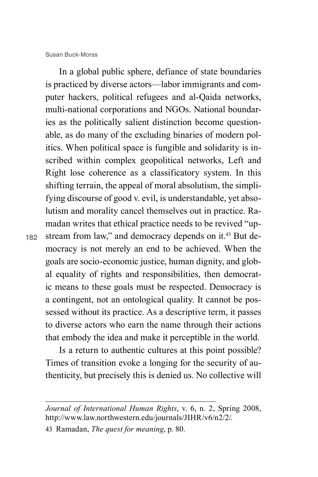182

In a global public sphere, defiance of state boundaries is practiced by diverse actors—labor immigrants and computer hackers, political refugees and al-Qaida networks, multi-national corporations and NGOs. National boundaries as the politically salient distinction become questionable, as do many of the excluding binaries of modern politics. When political space is fungible and solidarity is inscribed within complex geopolitical networks, Left and Right lose coherence as a classificatory system. In this shifting terrain, the appeal of moral absolutism, the simplifying discourse of good v. evil, is understandable, yet absolutism and morality cancel themselves out in practice. Ramadan writes that ethical practice needs to be revived "upstream from law," and democracy depends on it.<sup>43</sup> But democracy is not merely an end to be achieved. When the goals are socio-economic justice, human dignity, and global equality of rights and responsibilities, then democratic means to these goals must be respected. Democracy is a contingent, not an ontological quality. It cannot be possessed without its practice. As a descriptive term, it passes to diverse actors who earn the name through their actions that embody the idea and make it perceptible in the world.

Is a return to authentic cultures at this point possible? Times of transition evoke a longing for the security of authenticity, but precisely this is denied us. No collective will

*Journal of International Human Rights*, v. 6, n. 2, Spring 2008, http://www.law.northwestern.edu/journals/JIHR/v6/n2/2/.

<sup>43</sup> Ramadan, *The quest for meaning*, p. 80.